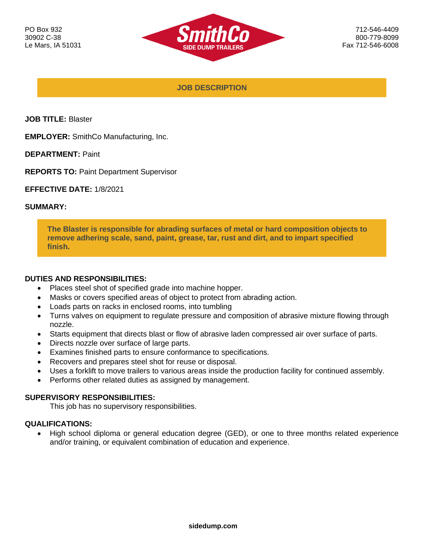

**JOB DESCRIPTION**

**JOB TITLE:** Blaster

**EMPLOYER:** SmithCo Manufacturing, Inc.

**DEPARTMENT:** Paint

**REPORTS TO:** Paint Department Supervisor

**EFFECTIVE DATE:** 1/8/2021

#### **SUMMARY:**

**The Blaster is responsible for abrading surfaces of metal or hard composition objects to remove adhering scale, sand, paint, grease, tar, rust and dirt, and to impart specified finish.**

### **DUTIES AND RESPONSIBILITIES:**

- Places steel shot of specified grade into machine hopper.
- Masks or covers specified areas of object to protect from abrading action.
- Loads parts on racks in enclosed rooms, into tumbling
- Turns valves on equipment to regulate pressure and composition of abrasive mixture flowing through nozzle.
- Starts equipment that directs blast or flow of abrasive laden compressed air over surface of parts.
- Directs nozzle over surface of large parts.
- Examines finished parts to ensure conformance to specifications.
- Recovers and prepares steel shot for reuse or disposal.
- Uses a forklift to move trailers to various areas inside the production facility for continued assembly.
- Performs other related duties as assigned by management.

#### **SUPERVISORY RESPONSIBILITIES:**

This job has no supervisory responsibilities.

### **QUALIFICATIONS:**

• High school diploma or general education degree (GED), or one to three months related experience and/or training, or equivalent combination of education and experience.